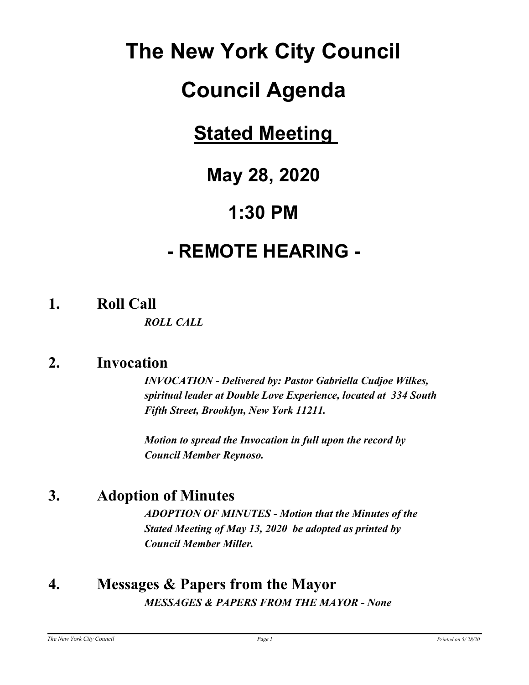# **The New York City Council**

# **Council Agenda**

# **Stated Meeting**

# **May 28, 2020**

# **1:30 PM**

# **- REMOTE HEARING -**

**1. Roll Call**

*ROLL CALL*

# **2. Invocation**

*INVOCATION - Delivered by: Pastor Gabriella Cudjoe Wilkes, spiritual leader at Double Love Experience, located at 334 South Fifth Street, Brooklyn, New York 11211.* 

*Motion to spread the Invocation in full upon the record by Council Member Reynoso.*

# **3. Adoption of Minutes**

*ADOPTION OF MINUTES - Motion that the Minutes of the Stated Meeting of May 13, 2020 be adopted as printed by Council Member Miller.*

## **4. Messages & Papers from the Mayor** *MESSAGES & PAPERS FROM THE MAYOR - None*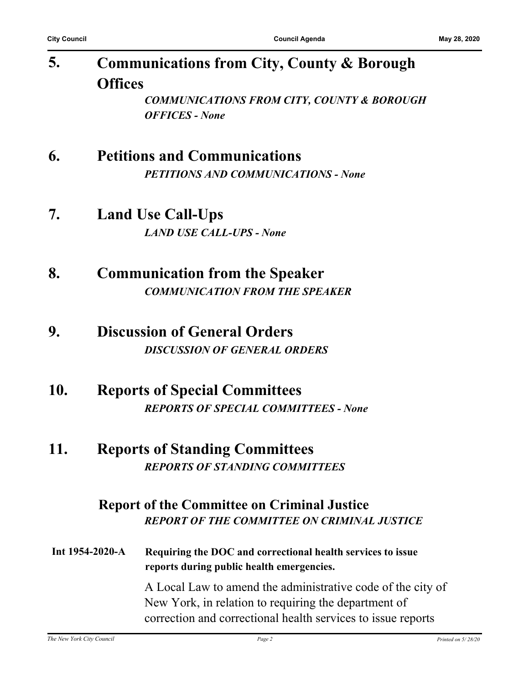| 5. | <b>Communications from City, County &amp; Borough</b> |  |  |
|----|-------------------------------------------------------|--|--|
|    | <b>Offices</b>                                        |  |  |
|    | <b>COMMUNICATIONS FROM CITY, COUNTY &amp; BOROUGH</b> |  |  |

*OFFICES - None*

## **6. Petitions and Communications**

*PETITIONS AND COMMUNICATIONS - None*

## **7. Land Use Call-Ups** *LAND USE CALL-UPS - None*

**8. Communication from the Speaker** *COMMUNICATION FROM THE SPEAKER*

## **9. Discussion of General Orders** *DISCUSSION OF GENERAL ORDERS*

### **10. Reports of Special Committees** *REPORTS OF SPECIAL COMMITTEES - None*

### **11. Reports of Standing Committees** *REPORTS OF STANDING COMMITTEES*

#### **Report of the Committee on Criminal Justice** *REPORT OF THE COMMITTEE ON CRIMINAL JUSTICE*

**Int 1954-2020-A Requiring the DOC and correctional health services to issue reports during public health emergencies.**

A Local Law to amend the administrative code of the city of New York, in relation to requiring the department of correction and correctional health services to issue reports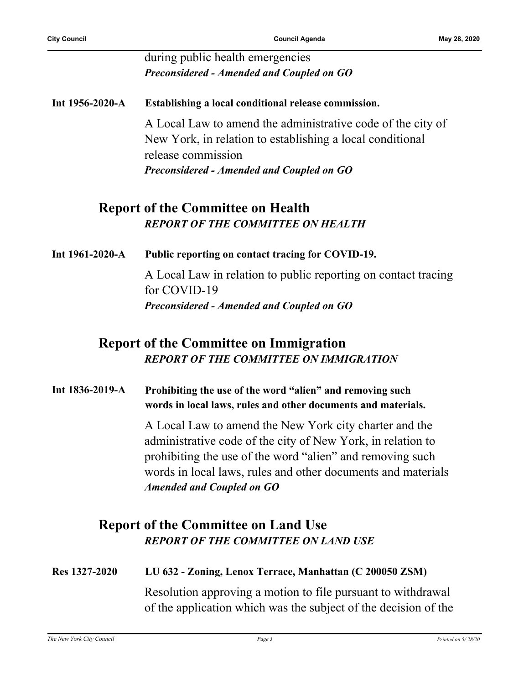#### during public health emergencies *Preconsidered - Amended and Coupled on GO*

**Int 1956-2020-A Establishing a local conditional release commission.** A Local Law to amend the administrative code of the city of New York, in relation to establishing a local conditional release commission *Preconsidered - Amended and Coupled on GO*

#### **Report of the Committee on Health** *REPORT OF THE COMMITTEE ON HEALTH*

**Int 1961-2020-A Public reporting on contact tracing for COVID-19.**

A Local Law in relation to public reporting on contact tracing for COVID-19 *Preconsidered - Amended and Coupled on GO*

#### **Report of the Committee on Immigration** *REPORT OF THE COMMITTEE ON IMMIGRATION*

#### **Int 1836-2019-A Prohibiting the use of the word "alien" and removing such words in local laws, rules and other documents and materials.**

A Local Law to amend the New York city charter and the administrative code of the city of New York, in relation to prohibiting the use of the word "alien" and removing such words in local laws, rules and other documents and materials *Amended and Coupled on GO*

### **Report of the Committee on Land Use** *REPORT OF THE COMMITTEE ON LAND USE*

# **Res 1327-2020 LU 632 - Zoning, Lenox Terrace, Manhattan (C 200050 ZSM)** Resolution approving a motion to file pursuant to withdrawal of the application which was the subject of the decision of the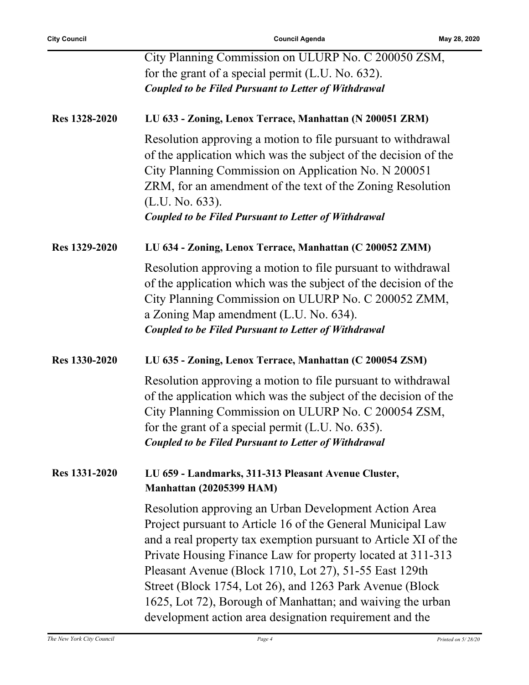|               | City Planning Commission on ULURP No. C 200050 ZSM,                                                                                                                                                                                                                                                                                                                                                                                                                                                   |
|---------------|-------------------------------------------------------------------------------------------------------------------------------------------------------------------------------------------------------------------------------------------------------------------------------------------------------------------------------------------------------------------------------------------------------------------------------------------------------------------------------------------------------|
|               | for the grant of a special permit (L.U. No. 632).                                                                                                                                                                                                                                                                                                                                                                                                                                                     |
|               | <b>Coupled to be Filed Pursuant to Letter of Withdrawal</b>                                                                                                                                                                                                                                                                                                                                                                                                                                           |
|               |                                                                                                                                                                                                                                                                                                                                                                                                                                                                                                       |
| Res 1328-2020 | LU 633 - Zoning, Lenox Terrace, Manhattan (N 200051 ZRM)                                                                                                                                                                                                                                                                                                                                                                                                                                              |
|               | Resolution approving a motion to file pursuant to withdrawal<br>of the application which was the subject of the decision of the<br>City Planning Commission on Application No. N 200051<br>ZRM, for an amendment of the text of the Zoning Resolution<br>(L.U. No. 633).<br><b>Coupled to be Filed Pursuant to Letter of Withdrawal</b>                                                                                                                                                               |
| Res 1329-2020 | LU 634 - Zoning, Lenox Terrace, Manhattan (C 200052 ZMM)                                                                                                                                                                                                                                                                                                                                                                                                                                              |
|               | Resolution approving a motion to file pursuant to withdrawal<br>of the application which was the subject of the decision of the<br>City Planning Commission on ULURP No. C 200052 ZMM,<br>a Zoning Map amendment (L.U. No. 634).<br><b>Coupled to be Filed Pursuant to Letter of Withdrawal</b>                                                                                                                                                                                                       |
| Res 1330-2020 | LU 635 - Zoning, Lenox Terrace, Manhattan (C 200054 ZSM)                                                                                                                                                                                                                                                                                                                                                                                                                                              |
|               | Resolution approving a motion to file pursuant to withdrawal<br>of the application which was the subject of the decision of the<br>City Planning Commission on ULURP No. C 200054 ZSM,<br>for the grant of a special permit (L.U. No. 635).<br><b>Coupled to be Filed Pursuant to Letter of Withdrawal</b>                                                                                                                                                                                            |
| Res 1331-2020 | LU 659 - Landmarks, 311-313 Pleasant Avenue Cluster,<br><b>Manhattan (20205399 HAM)</b>                                                                                                                                                                                                                                                                                                                                                                                                               |
|               | Resolution approving an Urban Development Action Area<br>Project pursuant to Article 16 of the General Municipal Law<br>and a real property tax exemption pursuant to Article XI of the<br>Private Housing Finance Law for property located at 311-313<br>Pleasant Avenue (Block 1710, Lot 27), 51-55 East 129th<br>Street (Block 1754, Lot 26), and 1263 Park Avenue (Block<br>1625, Lot 72), Borough of Manhattan; and waiving the urban<br>development action area designation requirement and the |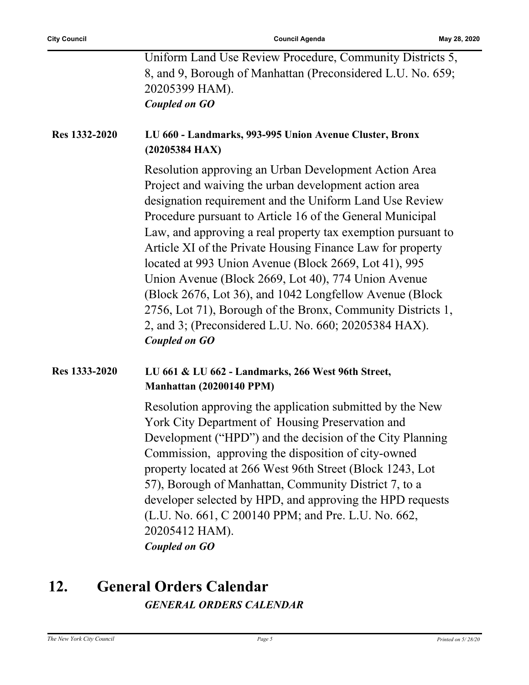| Coupled on GO                                               |  |
|-------------------------------------------------------------|--|
| 20205399 HAM).                                              |  |
| 8, and 9, Borough of Manhattan (Preconsidered L.U. No. 659; |  |
| Uniform Land Use Review Procedure, Community Districts 5,   |  |

#### **Res 1332-2020 LU 660 - Landmarks, 993-995 Union Avenue Cluster, Bronx (20205384 HAX)**

Resolution approving an Urban Development Action Area Project and waiving the urban development action area designation requirement and the Uniform Land Use Review Procedure pursuant to Article 16 of the General Municipal Law, and approving a real property tax exemption pursuant to Article XI of the Private Housing Finance Law for property located at 993 Union Avenue (Block 2669, Lot 41), 995 Union Avenue (Block 2669, Lot 40), 774 Union Avenue (Block 2676, Lot 36), and 1042 Longfellow Avenue (Block 2756, Lot 71), Borough of the Bronx, Community Districts 1, 2, and 3; (Preconsidered L.U. No. 660; 20205384 HAX). *Coupled on GO*

#### **Res 1333-2020 LU 661 & LU 662 - Landmarks, 266 West 96th Street, Manhattan (20200140 PPM)**

Resolution approving the application submitted by the New York City Department of Housing Preservation and Development ("HPD") and the decision of the City Planning Commission, approving the disposition of city-owned property located at 266 West 96th Street (Block 1243, Lot 57), Borough of Manhattan, Community District 7, to a developer selected by HPD, and approving the HPD requests (L.U. No. 661, C 200140 PPM; and Pre. L.U. No. 662, 20205412 HAM). *Coupled on GO*

# **12. General Orders Calendar** *GENERAL ORDERS CALENDAR*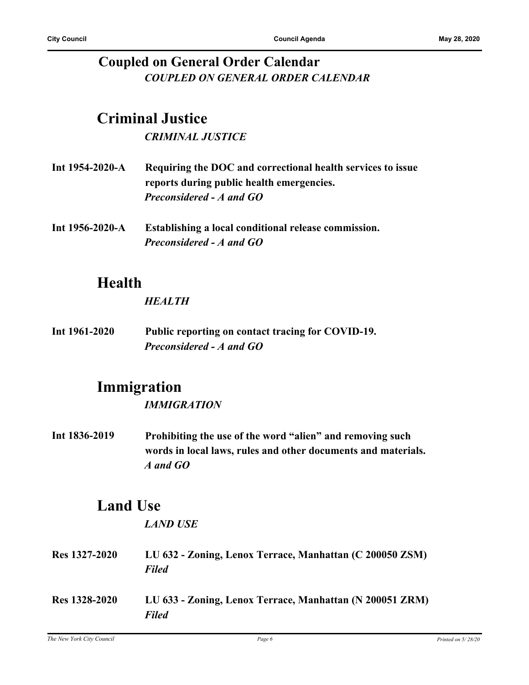#### **Coupled on General Order Calendar** *COUPLED ON GENERAL ORDER CALENDAR*

## **Criminal Justice**

*CRIMINAL JUSTICE*

| Int $1954-2020-A$ | Requiring the DOC and correctional health services to issue |
|-------------------|-------------------------------------------------------------|
|                   | reports during public health emergencies.                   |
|                   | <b>Preconsidered - A and GO</b>                             |

**Int 1956-2020-A Establishing a local conditional release commission.** *Preconsidered - A and GO*

# **Health**

#### *HEALTH*

**Int 1961-2020 Public reporting on contact tracing for COVID-19.** *Preconsidered - A and GO*

## **Immigration**

*IMMIGRATION*

**Int 1836-2019 Prohibiting the use of the word "alien" and removing such words in local laws, rules and other documents and materials.** *A and GO*

# **Land Use**

*LAND USE*

- **Res 1327-2020 LU 632 Zoning, Lenox Terrace, Manhattan (C 200050 ZSM)** *Filed*
- **Res 1328-2020 LU 633 Zoning, Lenox Terrace, Manhattan (N 200051 ZRM)** *Filed*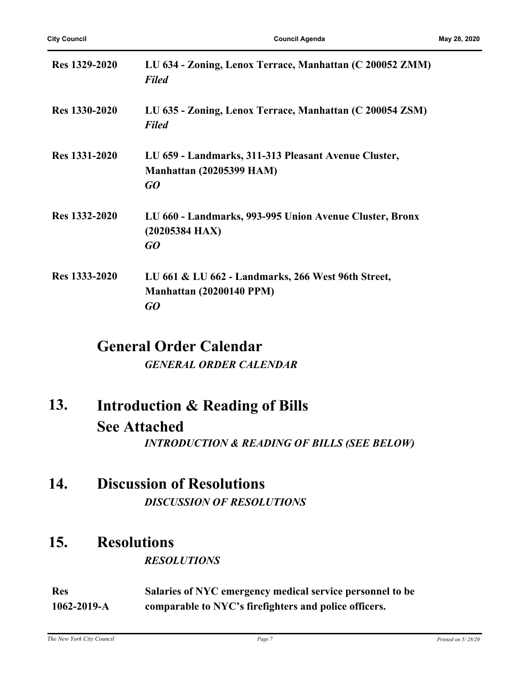| Res 1329-2020 | LU 634 - Zoning, Lenox Terrace, Manhattan (C 200052 ZMM)<br><b>Filed</b>                      |
|---------------|-----------------------------------------------------------------------------------------------|
| Res 1330-2020 | LU 635 - Zoning, Lenox Terrace, Manhattan (C 200054 ZSM)<br><b>Filed</b>                      |
| Res 1331-2020 | LU 659 - Landmarks, 311-313 Pleasant Avenue Cluster,<br><b>Manhattan (20205399 HAM)</b><br>GO |
| Res 1332-2020 | LU 660 - Landmarks, 993-995 Union Avenue Cluster, Bronx<br>$(20205384$ HAX)<br>GO             |
| Res 1333-2020 | LU 661 & LU 662 - Landmarks, 266 West 96th Street,<br><b>Manhattan (20200140 PPM)</b><br>GO   |

## **General Order Calendar**

*GENERAL ORDER CALENDAR*

- **Introduction & Reading of Bills See Attached 13.** *INTRODUCTION & READING OF BILLS (SEE BELOW)*
- **14. Discussion of Resolutions** *DISCUSSION OF RESOLUTIONS*

### **15. Resolutions**

#### *RESOLUTIONS*

**Res 1062-2019-A Salaries of NYC emergency medical service personnel to be comparable to NYC's firefighters and police officers.**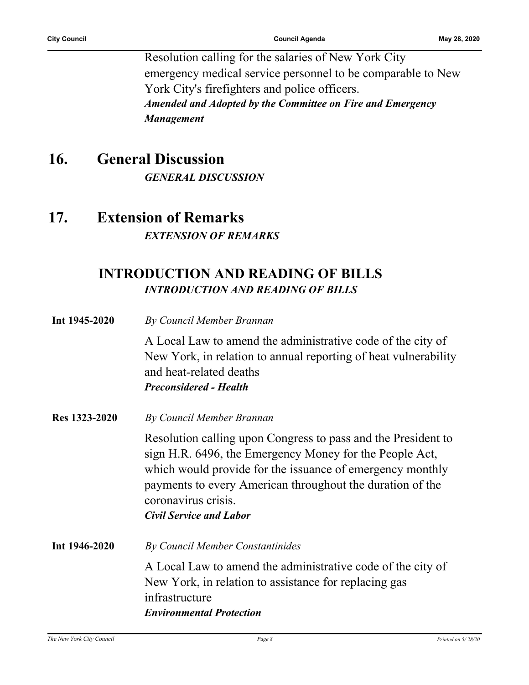Resolution calling for the salaries of New York City emergency medical service personnel to be comparable to New York City's firefighters and police officers. *Amended and Adopted by the Committee on Fire and Emergency Management*

## **16. General Discussion**

*GENERAL DISCUSSION*

## **17. Extension of Remarks** *EXTENSION OF REMARKS*

### **INTRODUCTION AND READING OF BILLS** *INTRODUCTION AND READING OF BILLS*

| Int 1945-2020 | By Council Member Brannan                                                                                                                                                                                                                                                                                   |
|---------------|-------------------------------------------------------------------------------------------------------------------------------------------------------------------------------------------------------------------------------------------------------------------------------------------------------------|
|               | A Local Law to amend the administrative code of the city of<br>New York, in relation to annual reporting of heat vulnerability<br>and heat-related deaths<br><b>Preconsidered - Health</b>                                                                                                                  |
| Res 1323-2020 | By Council Member Brannan                                                                                                                                                                                                                                                                                   |
|               | Resolution calling upon Congress to pass and the President to<br>sign H.R. 6496, the Emergency Money for the People Act,<br>which would provide for the issuance of emergency monthly<br>payments to every American throughout the duration of the<br>coronavirus crisis.<br><b>Civil Service and Labor</b> |
| Int 1946-2020 | By Council Member Constantinides                                                                                                                                                                                                                                                                            |
|               | A Local Law to amend the administrative code of the city of<br>New York, in relation to assistance for replacing gas<br>infrastructure<br><b>Environmental Protection</b>                                                                                                                                   |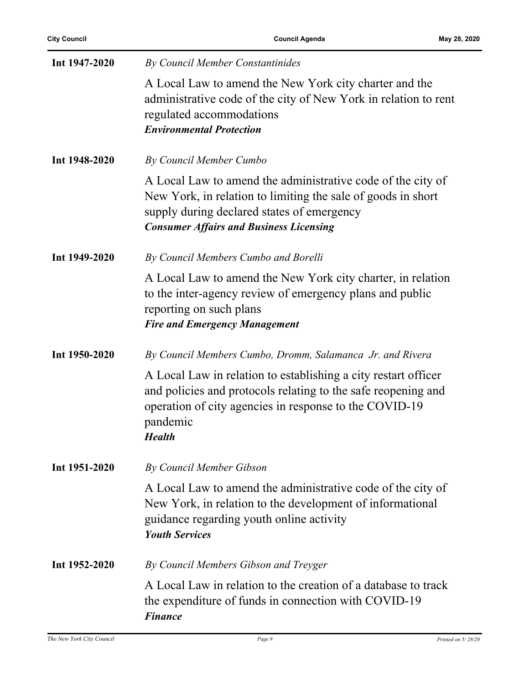| Int 1947-2020 | By Council Member Constantinides                                                                                                                                                                                            |
|---------------|-----------------------------------------------------------------------------------------------------------------------------------------------------------------------------------------------------------------------------|
|               | A Local Law to amend the New York city charter and the<br>administrative code of the city of New York in relation to rent<br>regulated accommodations<br><b>Environmental Protection</b>                                    |
| Int 1948-2020 | By Council Member Cumbo                                                                                                                                                                                                     |
|               | A Local Law to amend the administrative code of the city of<br>New York, in relation to limiting the sale of goods in short<br>supply during declared states of emergency<br><b>Consumer Affairs and Business Licensing</b> |
| Int 1949-2020 | By Council Members Cumbo and Borelli                                                                                                                                                                                        |
|               | A Local Law to amend the New York city charter, in relation<br>to the inter-agency review of emergency plans and public<br>reporting on such plans<br><b>Fire and Emergency Management</b>                                  |
| Int 1950-2020 | By Council Members Cumbo, Dromm, Salamanca Jr. and Rivera                                                                                                                                                                   |
|               | A Local Law in relation to establishing a city restart officer<br>and policies and protocols relating to the safe reopening and<br>operation of city agencies in response to the COVID-19<br>pandemic<br><b>Health</b>      |
| Int 1951-2020 | By Council Member Gibson                                                                                                                                                                                                    |
|               | A Local Law to amend the administrative code of the city of<br>New York, in relation to the development of informational<br>guidance regarding youth online activity<br><b>Youth Services</b>                               |
| Int 1952-2020 | By Council Members Gibson and Treyger                                                                                                                                                                                       |
|               | A Local Law in relation to the creation of a database to track<br>the expenditure of funds in connection with COVID-19<br><b>Finance</b>                                                                                    |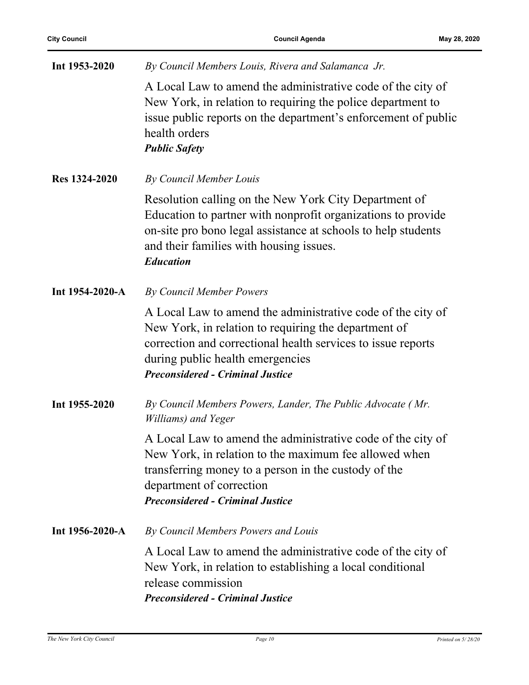| Int 1953-2020   | By Council Members Louis, Rivera and Salamanca Jr.                                                                                                                                                                                                                 |
|-----------------|--------------------------------------------------------------------------------------------------------------------------------------------------------------------------------------------------------------------------------------------------------------------|
|                 | A Local Law to amend the administrative code of the city of<br>New York, in relation to requiring the police department to<br>issue public reports on the department's enforcement of public<br>health orders<br><b>Public Safety</b>                              |
| Res 1324-2020   | By Council Member Louis                                                                                                                                                                                                                                            |
|                 | Resolution calling on the New York City Department of<br>Education to partner with nonprofit organizations to provide<br>on-site pro bono legal assistance at schools to help students<br>and their families with housing issues.<br><b>Education</b>              |
| Int 1954-2020-A | By Council Member Powers                                                                                                                                                                                                                                           |
|                 | A Local Law to amend the administrative code of the city of<br>New York, in relation to requiring the department of<br>correction and correctional health services to issue reports<br>during public health emergencies<br><b>Preconsidered - Criminal Justice</b> |
| Int 1955-2020   | By Council Members Powers, Lander, The Public Advocate (Mr.<br>Williams) and Yeger                                                                                                                                                                                 |
|                 | A Local Law to amend the administrative code of the city of<br>New York, in relation to the maximum fee allowed when<br>transferring money to a person in the custody of the<br>department of correction<br><b>Preconsidered - Criminal Justice</b>                |
| Int 1956-2020-A | By Council Members Powers and Louis                                                                                                                                                                                                                                |
|                 | A Local Law to amend the administrative code of the city of<br>New York, in relation to establishing a local conditional<br>release commission<br><b>Preconsidered - Criminal Justice</b>                                                                          |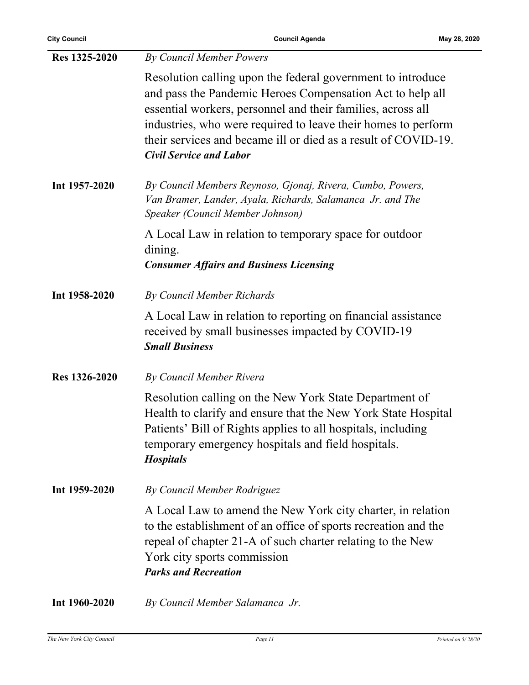**City Council Council Agenda May 28, 2020**

| Res 1325-2020 | <b>By Council Member Powers</b>                                                                                                                                                                                                                                                                                                                              |
|---------------|--------------------------------------------------------------------------------------------------------------------------------------------------------------------------------------------------------------------------------------------------------------------------------------------------------------------------------------------------------------|
|               | Resolution calling upon the federal government to introduce<br>and pass the Pandemic Heroes Compensation Act to help all<br>essential workers, personnel and their families, across all<br>industries, who were required to leave their homes to perform<br>their services and became ill or died as a result of COVID-19.<br><b>Civil Service and Labor</b> |
| Int 1957-2020 | By Council Members Reynoso, Gjonaj, Rivera, Cumbo, Powers,<br>Van Bramer, Lander, Ayala, Richards, Salamanca Jr. and The<br>Speaker (Council Member Johnson)                                                                                                                                                                                                 |
|               | A Local Law in relation to temporary space for outdoor<br>dining.<br><b>Consumer Affairs and Business Licensing</b>                                                                                                                                                                                                                                          |
| Int 1958-2020 | <b>By Council Member Richards</b>                                                                                                                                                                                                                                                                                                                            |
|               | A Local Law in relation to reporting on financial assistance<br>received by small businesses impacted by COVID-19<br><b>Small Business</b>                                                                                                                                                                                                                   |
| Res 1326-2020 | By Council Member Rivera                                                                                                                                                                                                                                                                                                                                     |
|               | Resolution calling on the New York State Department of<br>Health to clarify and ensure that the New York State Hospital<br>Patients' Bill of Rights applies to all hospitals, including<br>temporary emergency hospitals and field hospitals.<br><b>Hospitals</b>                                                                                            |
| Int 1959-2020 | By Council Member Rodriguez                                                                                                                                                                                                                                                                                                                                  |
|               | A Local Law to amend the New York city charter, in relation<br>to the establishment of an office of sports recreation and the<br>repeal of chapter 21-A of such charter relating to the New<br>York city sports commission<br><b>Parks and Recreation</b>                                                                                                    |
| Int 1960-2020 | By Council Member Salamanca Jr.                                                                                                                                                                                                                                                                                                                              |